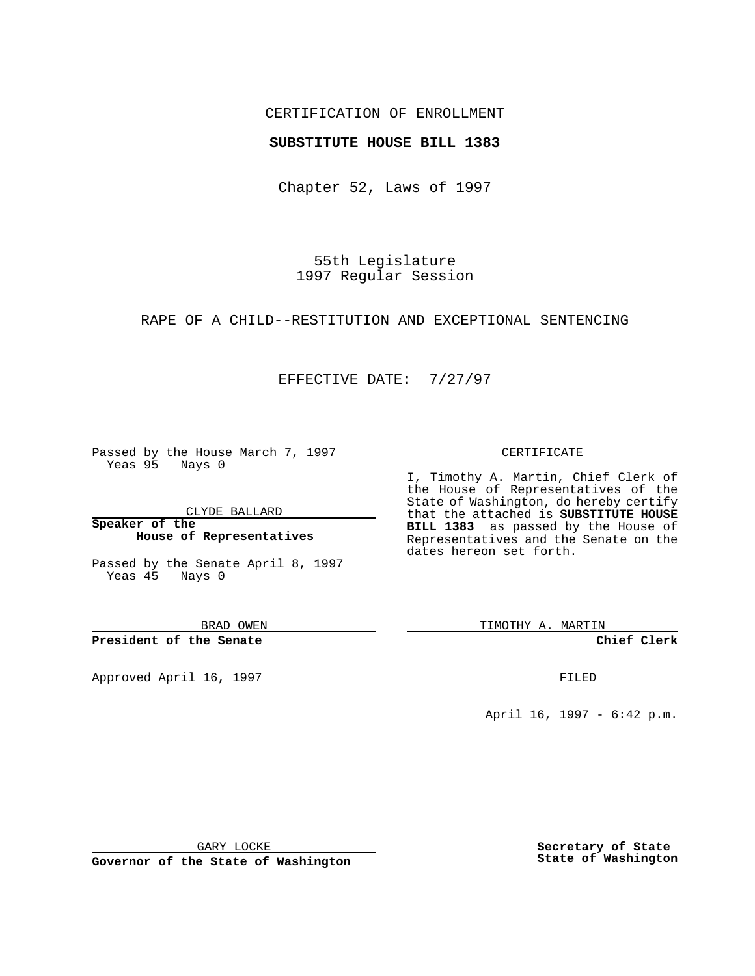### CERTIFICATION OF ENROLLMENT

## **SUBSTITUTE HOUSE BILL 1383**

Chapter 52, Laws of 1997

55th Legislature 1997 Regular Session

### RAPE OF A CHILD--RESTITUTION AND EXCEPTIONAL SENTENCING

## EFFECTIVE DATE: 7/27/97

Passed by the House March 7, 1997 Yeas 95 Nays 0

CLYDE BALLARD

**Speaker of the House of Representatives**

Passed by the Senate April 8, 1997 Yeas 45 Nays 0

BRAD OWEN

**President of the Senate**

Approved April 16, 1997 **FILED** 

### CERTIFICATE

I, Timothy A. Martin, Chief Clerk of the House of Representatives of the State of Washington, do hereby certify that the attached is **SUBSTITUTE HOUSE BILL 1383** as passed by the House of Representatives and the Senate on the dates hereon set forth.

TIMOTHY A. MARTIN

**Chief Clerk**

April 16, 1997 - 6:42 p.m.

GARY LOCKE

**Governor of the State of Washington**

**Secretary of State State of Washington**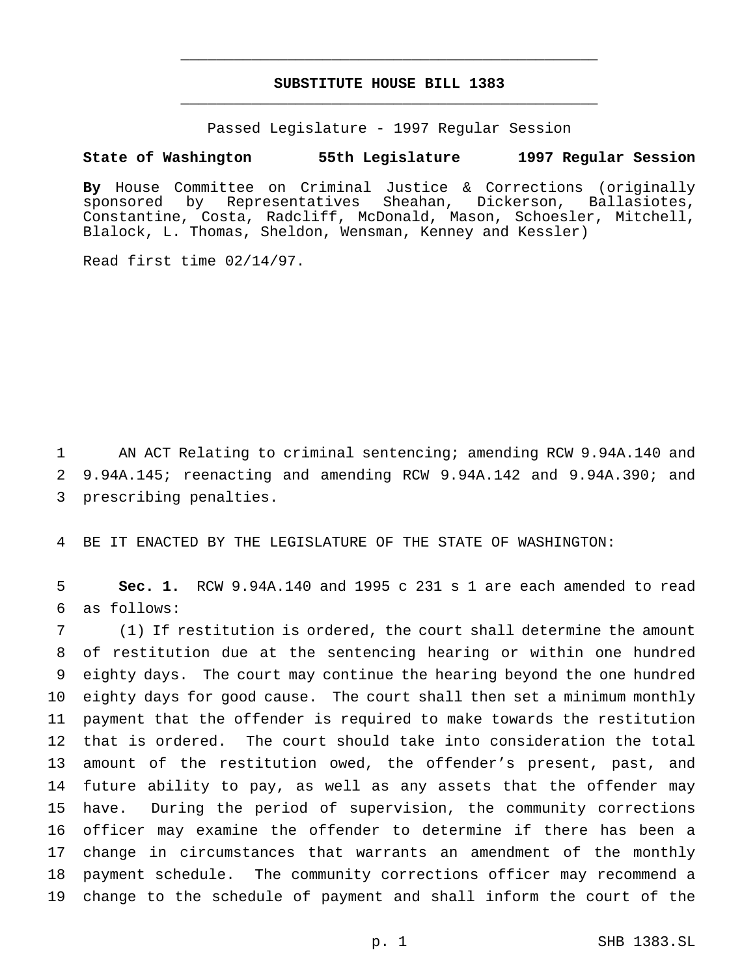# **SUBSTITUTE HOUSE BILL 1383** \_\_\_\_\_\_\_\_\_\_\_\_\_\_\_\_\_\_\_\_\_\_\_\_\_\_\_\_\_\_\_\_\_\_\_\_\_\_\_\_\_\_\_\_\_\_\_

\_\_\_\_\_\_\_\_\_\_\_\_\_\_\_\_\_\_\_\_\_\_\_\_\_\_\_\_\_\_\_\_\_\_\_\_\_\_\_\_\_\_\_\_\_\_\_

Passed Legislature - 1997 Regular Session

### **State of Washington 55th Legislature 1997 Regular Session**

**By** House Committee on Criminal Justice & Corrections (originally sponsored by Representatives Sheahan, Dickerson, Ballasiotes, Constantine, Costa, Radcliff, McDonald, Mason, Schoesler, Mitchell, Blalock, L. Thomas, Sheldon, Wensman, Kenney and Kessler)

Read first time 02/14/97.

 AN ACT Relating to criminal sentencing; amending RCW 9.94A.140 and 9.94A.145; reenacting and amending RCW 9.94A.142 and 9.94A.390; and prescribing penalties.

BE IT ENACTED BY THE LEGISLATURE OF THE STATE OF WASHINGTON:

 **Sec. 1.** RCW 9.94A.140 and 1995 c 231 s 1 are each amended to read as follows:

 (1) If restitution is ordered, the court shall determine the amount of restitution due at the sentencing hearing or within one hundred eighty days. The court may continue the hearing beyond the one hundred eighty days for good cause. The court shall then set a minimum monthly payment that the offender is required to make towards the restitution that is ordered. The court should take into consideration the total amount of the restitution owed, the offender's present, past, and future ability to pay, as well as any assets that the offender may have. During the period of supervision, the community corrections officer may examine the offender to determine if there has been a change in circumstances that warrants an amendment of the monthly payment schedule. The community corrections officer may recommend a change to the schedule of payment and shall inform the court of the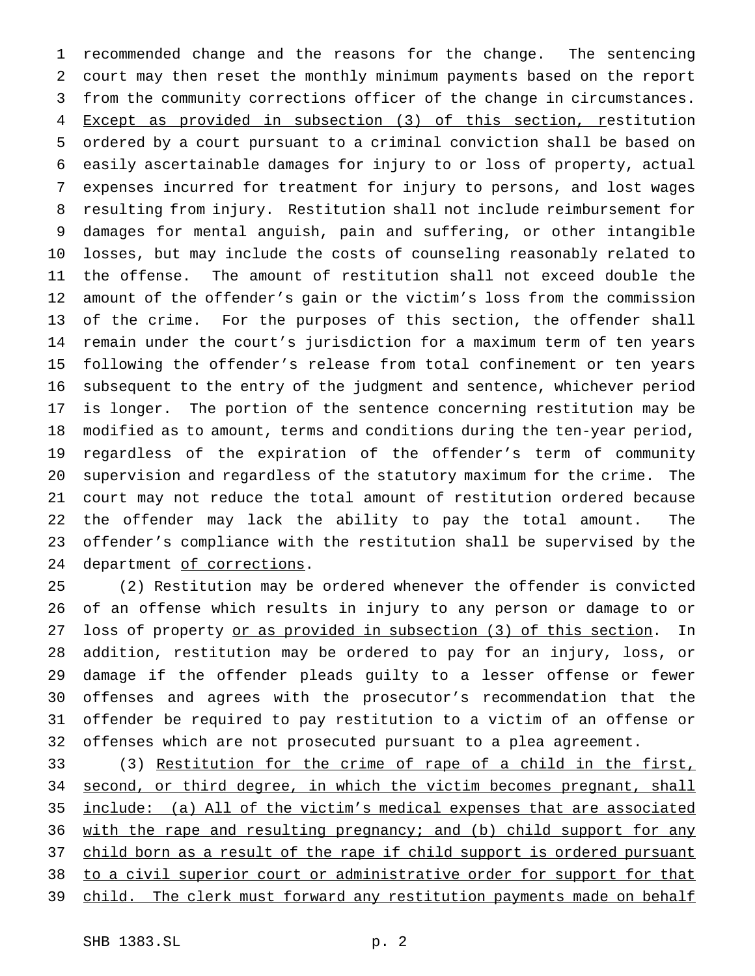recommended change and the reasons for the change. The sentencing court may then reset the monthly minimum payments based on the report from the community corrections officer of the change in circumstances. Except as provided in subsection (3) of this section, restitution ordered by a court pursuant to a criminal conviction shall be based on easily ascertainable damages for injury to or loss of property, actual expenses incurred for treatment for injury to persons, and lost wages resulting from injury. Restitution shall not include reimbursement for damages for mental anguish, pain and suffering, or other intangible losses, but may include the costs of counseling reasonably related to the offense. The amount of restitution shall not exceed double the amount of the offender's gain or the victim's loss from the commission of the crime. For the purposes of this section, the offender shall remain under the court's jurisdiction for a maximum term of ten years following the offender's release from total confinement or ten years subsequent to the entry of the judgment and sentence, whichever period is longer. The portion of the sentence concerning restitution may be modified as to amount, terms and conditions during the ten-year period, regardless of the expiration of the offender's term of community supervision and regardless of the statutory maximum for the crime. The court may not reduce the total amount of restitution ordered because the offender may lack the ability to pay the total amount. The offender's compliance with the restitution shall be supervised by the 24 department of corrections.

 (2) Restitution may be ordered whenever the offender is convicted of an offense which results in injury to any person or damage to or 27 loss of property or as provided in subsection (3) of this section. In addition, restitution may be ordered to pay for an injury, loss, or damage if the offender pleads guilty to a lesser offense or fewer offenses and agrees with the prosecutor's recommendation that the offender be required to pay restitution to a victim of an offense or offenses which are not prosecuted pursuant to a plea agreement.

 (3) Restitution for the crime of rape of a child in the first, 34 second, or third degree, in which the victim becomes pregnant, shall include: (a) All of the victim's medical expenses that are associated 36 with the rape and resulting pregnancy; and (b) child support for any 37 child born as a result of the rape if child support is ordered pursuant 38 to a civil superior court or administrative order for support for that 39 child. The clerk must forward any restitution payments made on behalf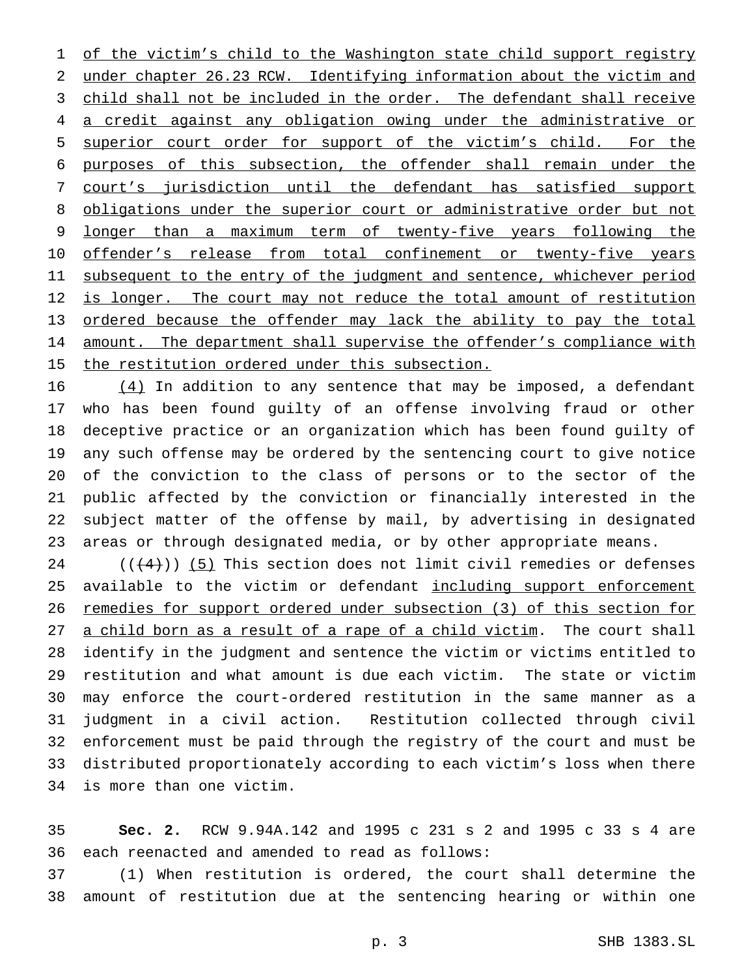1 of the victim's child to the Washington state child support registry under chapter 26.23 RCW. Identifying information about the victim and 3 child shall not be included in the order. The defendant shall receive a credit against any obligation owing under the administrative or superior court order for support of the victim's child. For the purposes of this subsection, the offender shall remain under the court's jurisdiction until the defendant has satisfied support 8 obligations under the superior court or administrative order but not 9 longer than a maximum term of twenty-five years following the 10 offender's release from total confinement or twenty-five years 11 subsequent to the entry of the judgment and sentence, whichever period 12 is longer. The court may not reduce the total amount of restitution ordered because the offender may lack the ability to pay the total 14 amount. The department shall supervise the offender's compliance with the restitution ordered under this subsection.

 $(4)$  In addition to any sentence that may be imposed, a defendant who has been found guilty of an offense involving fraud or other deceptive practice or an organization which has been found guilty of any such offense may be ordered by the sentencing court to give notice of the conviction to the class of persons or to the sector of the public affected by the conviction or financially interested in the subject matter of the offense by mail, by advertising in designated areas or through designated media, or by other appropriate means.

 $((+4))$  (5) This section does not limit civil remedies or defenses 25 available to the victim or defendant including support enforcement remedies for support ordered under subsection (3) of this section for a child born as a result of a rape of a child victim. The court shall identify in the judgment and sentence the victim or victims entitled to restitution and what amount is due each victim. The state or victim may enforce the court-ordered restitution in the same manner as a judgment in a civil action. Restitution collected through civil enforcement must be paid through the registry of the court and must be distributed proportionately according to each victim's loss when there is more than one victim.

 **Sec. 2.** RCW 9.94A.142 and 1995 c 231 s 2 and 1995 c 33 s 4 are each reenacted and amended to read as follows:

 (1) When restitution is ordered, the court shall determine the amount of restitution due at the sentencing hearing or within one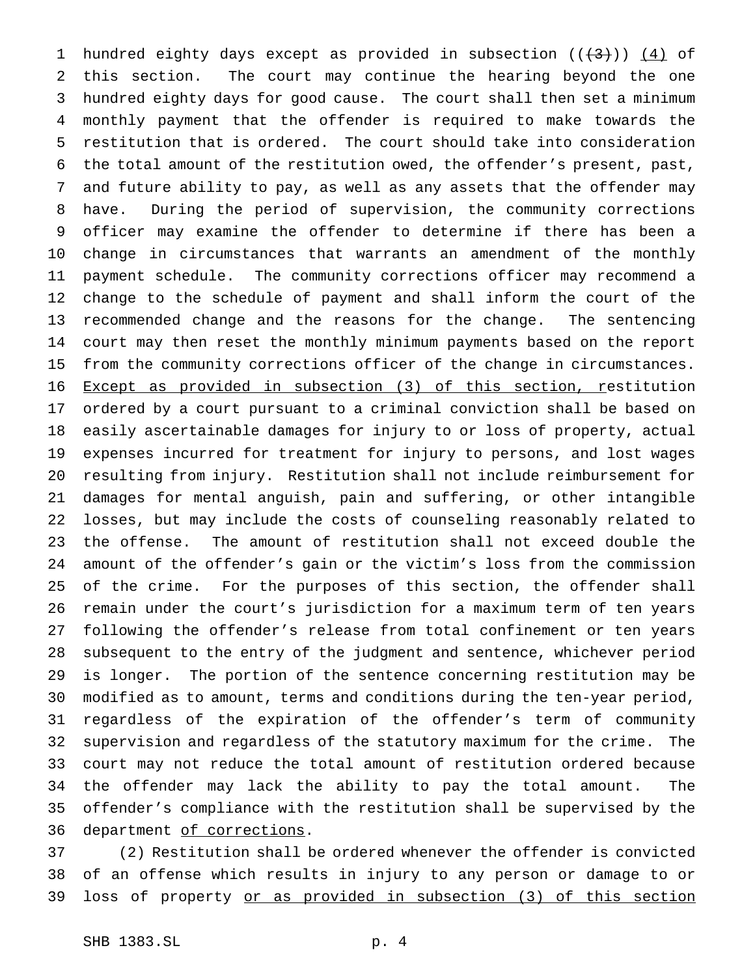1 hundred eighty days except as provided in subsection  $((+3))$   $(4)$  of this section. The court may continue the hearing beyond the one hundred eighty days for good cause. The court shall then set a minimum monthly payment that the offender is required to make towards the restitution that is ordered. The court should take into consideration the total amount of the restitution owed, the offender's present, past, and future ability to pay, as well as any assets that the offender may have. During the period of supervision, the community corrections officer may examine the offender to determine if there has been a change in circumstances that warrants an amendment of the monthly payment schedule. The community corrections officer may recommend a change to the schedule of payment and shall inform the court of the recommended change and the reasons for the change. The sentencing court may then reset the monthly minimum payments based on the report from the community corrections officer of the change in circumstances. Except as provided in subsection (3) of this section, restitution ordered by a court pursuant to a criminal conviction shall be based on easily ascertainable damages for injury to or loss of property, actual expenses incurred for treatment for injury to persons, and lost wages resulting from injury. Restitution shall not include reimbursement for damages for mental anguish, pain and suffering, or other intangible losses, but may include the costs of counseling reasonably related to the offense. The amount of restitution shall not exceed double the amount of the offender's gain or the victim's loss from the commission of the crime. For the purposes of this section, the offender shall remain under the court's jurisdiction for a maximum term of ten years following the offender's release from total confinement or ten years subsequent to the entry of the judgment and sentence, whichever period is longer. The portion of the sentence concerning restitution may be modified as to amount, terms and conditions during the ten-year period, regardless of the expiration of the offender's term of community supervision and regardless of the statutory maximum for the crime. The court may not reduce the total amount of restitution ordered because the offender may lack the ability to pay the total amount. The offender's compliance with the restitution shall be supervised by the 36 department of corrections.

 (2) Restitution shall be ordered whenever the offender is convicted of an offense which results in injury to any person or damage to or loss of property or as provided in subsection (3) of this section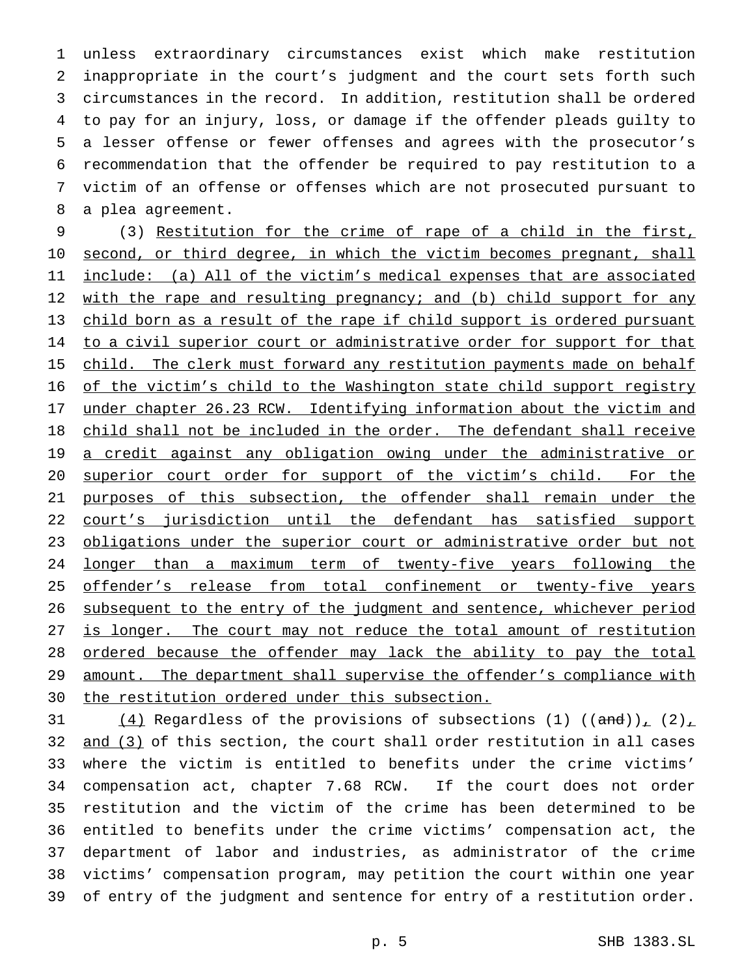unless extraordinary circumstances exist which make restitution inappropriate in the court's judgment and the court sets forth such circumstances in the record. In addition, restitution shall be ordered to pay for an injury, loss, or damage if the offender pleads guilty to a lesser offense or fewer offenses and agrees with the prosecutor's recommendation that the offender be required to pay restitution to a victim of an offense or offenses which are not prosecuted pursuant to a plea agreement.

9 (3) Restitution for the crime of rape of a child in the first, 10 second, or third degree, in which the victim becomes pregnant, shall 11 include: (a) All of the victim's medical expenses that are associated 12 with the rape and resulting pregnancy; and (b) child support for any 13 child born as a result of the rape if child support is ordered pursuant 14 to a civil superior court or administrative order for support for that 15 child. The clerk must forward any restitution payments made on behalf 16 of the victim's child to the Washington state child support registry 17 under chapter 26.23 RCW. Identifying information about the victim and 18 child shall not be included in the order. The defendant shall receive 19 a credit against any obligation owing under the administrative or 20 superior court order for support of the victim's child. For the 21 purposes of this subsection, the offender shall remain under the 22 court's jurisdiction until the defendant has satisfied support 23 obligations under the superior court or administrative order but not 24 longer than a maximum term of twenty-five years following the 25 offender's release from total confinement or twenty-five years 26 subsequent to the entry of the judgment and sentence, whichever period 27 is longer. The court may not reduce the total amount of restitution 28 ordered because the offender may lack the ability to pay the total 29 amount. The department shall supervise the offender's compliance with 30 the restitution ordered under this subsection.

31 (4) Regardless of the provisions of subsections (1)  $((\text{and}))_{\perp}$  (2), 32 and (3) of this section, the court shall order restitution in all cases where the victim is entitled to benefits under the crime victims' compensation act, chapter 7.68 RCW. If the court does not order restitution and the victim of the crime has been determined to be entitled to benefits under the crime victims' compensation act, the department of labor and industries, as administrator of the crime victims' compensation program, may petition the court within one year of entry of the judgment and sentence for entry of a restitution order.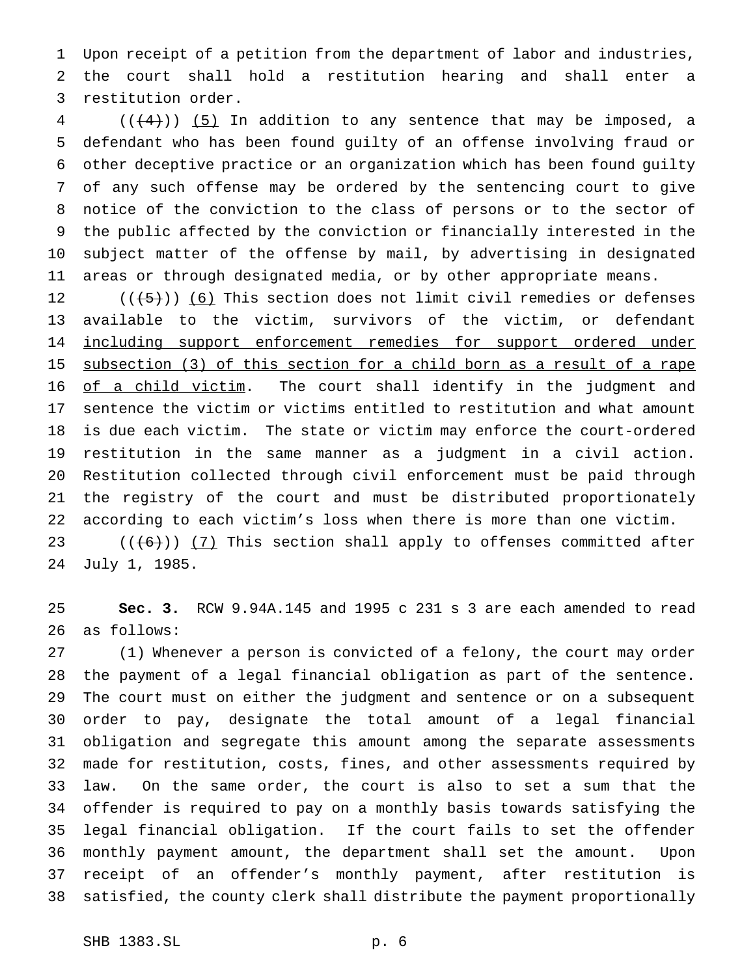Upon receipt of a petition from the department of labor and industries, the court shall hold a restitution hearing and shall enter a restitution order.

 (( $(4)$ )) (5) In addition to any sentence that may be imposed, a defendant who has been found guilty of an offense involving fraud or other deceptive practice or an organization which has been found guilty of any such offense may be ordered by the sentencing court to give notice of the conviction to the class of persons or to the sector of the public affected by the conviction or financially interested in the subject matter of the offense by mail, by advertising in designated areas or through designated media, or by other appropriate means.

 $((\{5\})$  (6) This section does not limit civil remedies or defenses available to the victim, survivors of the victim, or defendant 14 including support enforcement remedies for support ordered under subsection (3) of this section for a child born as a result of a rape 16 of a child victim. The court shall identify in the judgment and sentence the victim or victims entitled to restitution and what amount is due each victim. The state or victim may enforce the court-ordered restitution in the same manner as a judgment in a civil action. Restitution collected through civil enforcement must be paid through the registry of the court and must be distributed proportionately according to each victim's loss when there is more than one victim.

 $((+6))$   $(7)$  This section shall apply to offenses committed after July 1, 1985.

 **Sec. 3.** RCW 9.94A.145 and 1995 c 231 s 3 are each amended to read as follows:

 (1) Whenever a person is convicted of a felony, the court may order the payment of a legal financial obligation as part of the sentence. The court must on either the judgment and sentence or on a subsequent order to pay, designate the total amount of a legal financial obligation and segregate this amount among the separate assessments made for restitution, costs, fines, and other assessments required by law. On the same order, the court is also to set a sum that the offender is required to pay on a monthly basis towards satisfying the legal financial obligation. If the court fails to set the offender monthly payment amount, the department shall set the amount. Upon receipt of an offender's monthly payment, after restitution is satisfied, the county clerk shall distribute the payment proportionally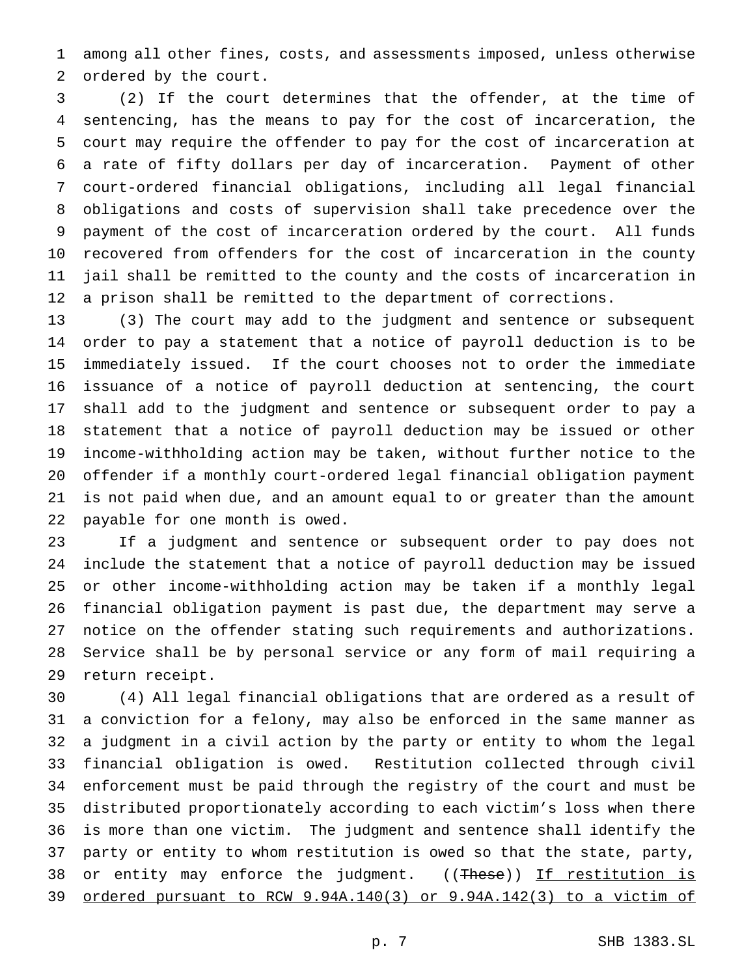among all other fines, costs, and assessments imposed, unless otherwise ordered by the court.

 (2) If the court determines that the offender, at the time of sentencing, has the means to pay for the cost of incarceration, the court may require the offender to pay for the cost of incarceration at a rate of fifty dollars per day of incarceration. Payment of other court-ordered financial obligations, including all legal financial obligations and costs of supervision shall take precedence over the payment of the cost of incarceration ordered by the court. All funds recovered from offenders for the cost of incarceration in the county jail shall be remitted to the county and the costs of incarceration in a prison shall be remitted to the department of corrections.

 (3) The court may add to the judgment and sentence or subsequent order to pay a statement that a notice of payroll deduction is to be immediately issued. If the court chooses not to order the immediate issuance of a notice of payroll deduction at sentencing, the court shall add to the judgment and sentence or subsequent order to pay a statement that a notice of payroll deduction may be issued or other income-withholding action may be taken, without further notice to the offender if a monthly court-ordered legal financial obligation payment is not paid when due, and an amount equal to or greater than the amount payable for one month is owed.

 If a judgment and sentence or subsequent order to pay does not include the statement that a notice of payroll deduction may be issued or other income-withholding action may be taken if a monthly legal financial obligation payment is past due, the department may serve a notice on the offender stating such requirements and authorizations. Service shall be by personal service or any form of mail requiring a return receipt.

 (4) All legal financial obligations that are ordered as a result of a conviction for a felony, may also be enforced in the same manner as a judgment in a civil action by the party or entity to whom the legal financial obligation is owed. Restitution collected through civil enforcement must be paid through the registry of the court and must be distributed proportionately according to each victim's loss when there is more than one victim. The judgment and sentence shall identify the party or entity to whom restitution is owed so that the state, party, 38 or entity may enforce the judgment. ((These)) If restitution is ordered pursuant to RCW 9.94A.140(3) or 9.94A.142(3) to a victim of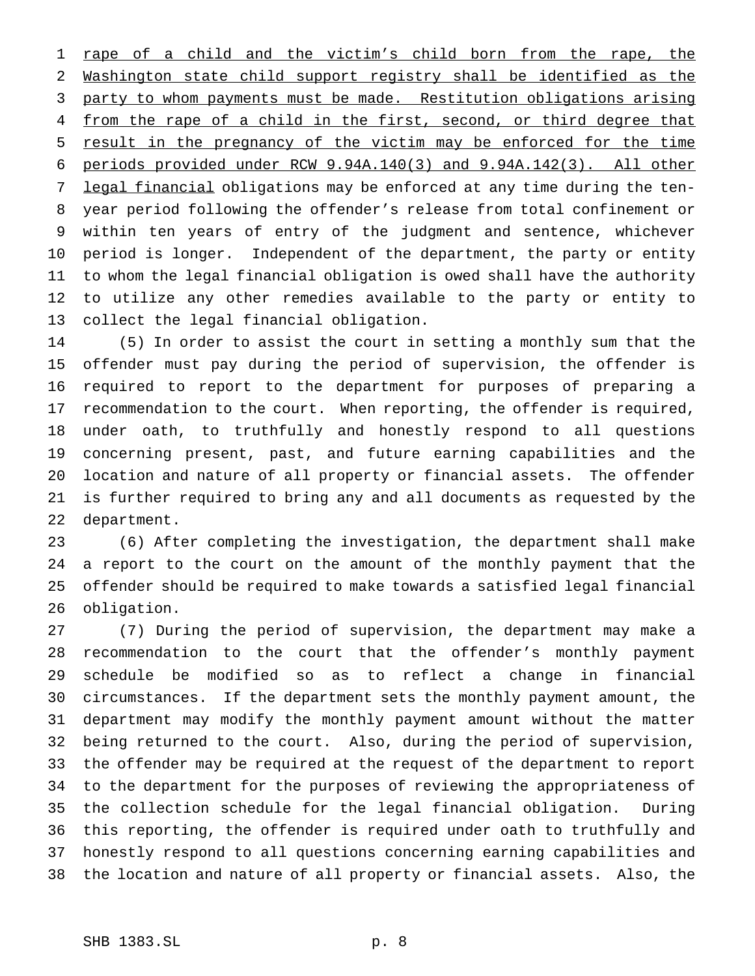1 rape of a child and the victim's child born from the rape, the Washington state child support registry shall be identified as the party to whom payments must be made. Restitution obligations arising 4 from the rape of a child in the first, second, or third degree that result in the pregnancy of the victim may be enforced for the time periods provided under RCW 9.94A.140(3) and 9.94A.142(3). All other legal financial obligations may be enforced at any time during the ten- year period following the offender's release from total confinement or within ten years of entry of the judgment and sentence, whichever period is longer. Independent of the department, the party or entity to whom the legal financial obligation is owed shall have the authority to utilize any other remedies available to the party or entity to collect the legal financial obligation.

 (5) In order to assist the court in setting a monthly sum that the offender must pay during the period of supervision, the offender is required to report to the department for purposes of preparing a recommendation to the court. When reporting, the offender is required, under oath, to truthfully and honestly respond to all questions concerning present, past, and future earning capabilities and the location and nature of all property or financial assets. The offender is further required to bring any and all documents as requested by the department.

 (6) After completing the investigation, the department shall make a report to the court on the amount of the monthly payment that the offender should be required to make towards a satisfied legal financial obligation.

 (7) During the period of supervision, the department may make a recommendation to the court that the offender's monthly payment schedule be modified so as to reflect a change in financial circumstances. If the department sets the monthly payment amount, the department may modify the monthly payment amount without the matter being returned to the court. Also, during the period of supervision, the offender may be required at the request of the department to report to the department for the purposes of reviewing the appropriateness of the collection schedule for the legal financial obligation. During this reporting, the offender is required under oath to truthfully and honestly respond to all questions concerning earning capabilities and the location and nature of all property or financial assets. Also, the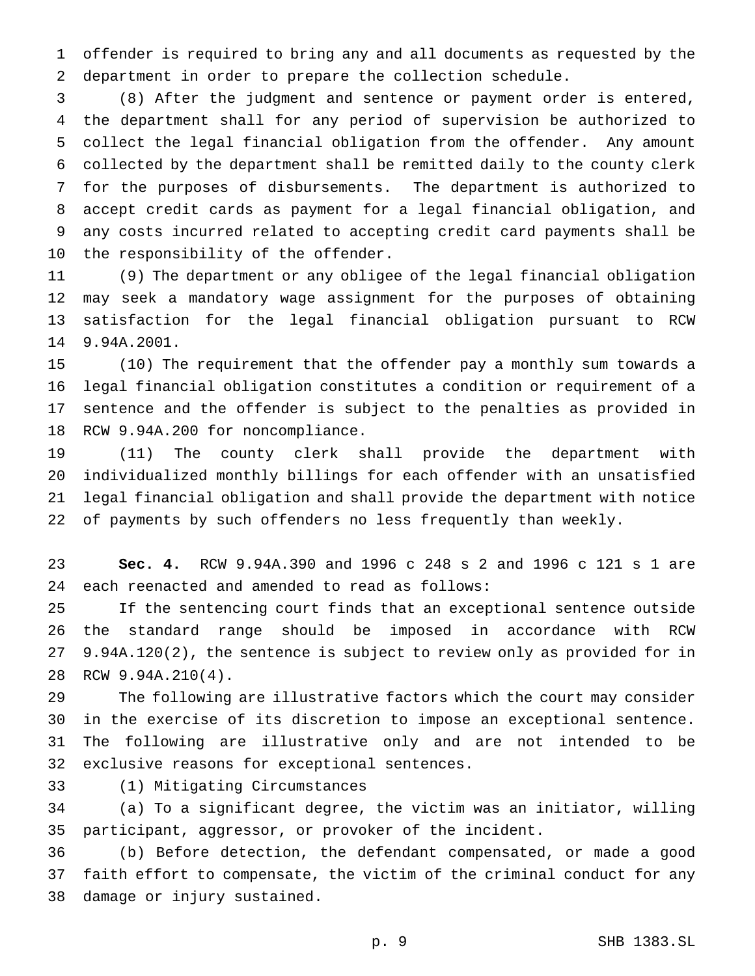offender is required to bring any and all documents as requested by the department in order to prepare the collection schedule.

 (8) After the judgment and sentence or payment order is entered, the department shall for any period of supervision be authorized to collect the legal financial obligation from the offender. Any amount collected by the department shall be remitted daily to the county clerk for the purposes of disbursements. The department is authorized to accept credit cards as payment for a legal financial obligation, and any costs incurred related to accepting credit card payments shall be the responsibility of the offender.

 (9) The department or any obligee of the legal financial obligation may seek a mandatory wage assignment for the purposes of obtaining satisfaction for the legal financial obligation pursuant to RCW 9.94A.2001.

 (10) The requirement that the offender pay a monthly sum towards a legal financial obligation constitutes a condition or requirement of a sentence and the offender is subject to the penalties as provided in RCW 9.94A.200 for noncompliance.

 (11) The county clerk shall provide the department with individualized monthly billings for each offender with an unsatisfied legal financial obligation and shall provide the department with notice of payments by such offenders no less frequently than weekly.

 **Sec. 4.** RCW 9.94A.390 and 1996 c 248 s 2 and 1996 c 121 s 1 are each reenacted and amended to read as follows:

 If the sentencing court finds that an exceptional sentence outside the standard range should be imposed in accordance with RCW 9.94A.120(2), the sentence is subject to review only as provided for in RCW 9.94A.210(4).

 The following are illustrative factors which the court may consider in the exercise of its discretion to impose an exceptional sentence. The following are illustrative only and are not intended to be exclusive reasons for exceptional sentences.

(1) Mitigating Circumstances

 (a) To a significant degree, the victim was an initiator, willing participant, aggressor, or provoker of the incident.

 (b) Before detection, the defendant compensated, or made a good faith effort to compensate, the victim of the criminal conduct for any damage or injury sustained.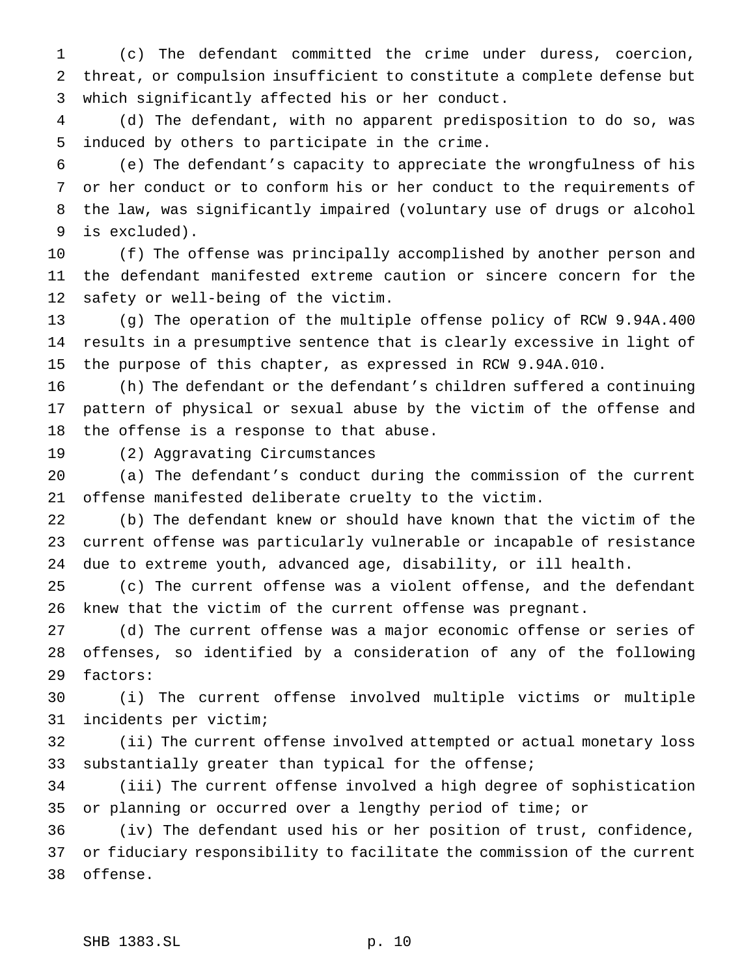(c) The defendant committed the crime under duress, coercion, threat, or compulsion insufficient to constitute a complete defense but which significantly affected his or her conduct.

 (d) The defendant, with no apparent predisposition to do so, was induced by others to participate in the crime.

 (e) The defendant's capacity to appreciate the wrongfulness of his or her conduct or to conform his or her conduct to the requirements of the law, was significantly impaired (voluntary use of drugs or alcohol is excluded).

 (f) The offense was principally accomplished by another person and the defendant manifested extreme caution or sincere concern for the safety or well-being of the victim.

 (g) The operation of the multiple offense policy of RCW 9.94A.400 results in a presumptive sentence that is clearly excessive in light of the purpose of this chapter, as expressed in RCW 9.94A.010.

 (h) The defendant or the defendant's children suffered a continuing pattern of physical or sexual abuse by the victim of the offense and the offense is a response to that abuse.

(2) Aggravating Circumstances

 (a) The defendant's conduct during the commission of the current offense manifested deliberate cruelty to the victim.

 (b) The defendant knew or should have known that the victim of the current offense was particularly vulnerable or incapable of resistance due to extreme youth, advanced age, disability, or ill health.

 (c) The current offense was a violent offense, and the defendant knew that the victim of the current offense was pregnant.

 (d) The current offense was a major economic offense or series of offenses, so identified by a consideration of any of the following factors:

 (i) The current offense involved multiple victims or multiple incidents per victim;

 (ii) The current offense involved attempted or actual monetary loss substantially greater than typical for the offense;

 (iii) The current offense involved a high degree of sophistication or planning or occurred over a lengthy period of time; or

 (iv) The defendant used his or her position of trust, confidence, or fiduciary responsibility to facilitate the commission of the current offense.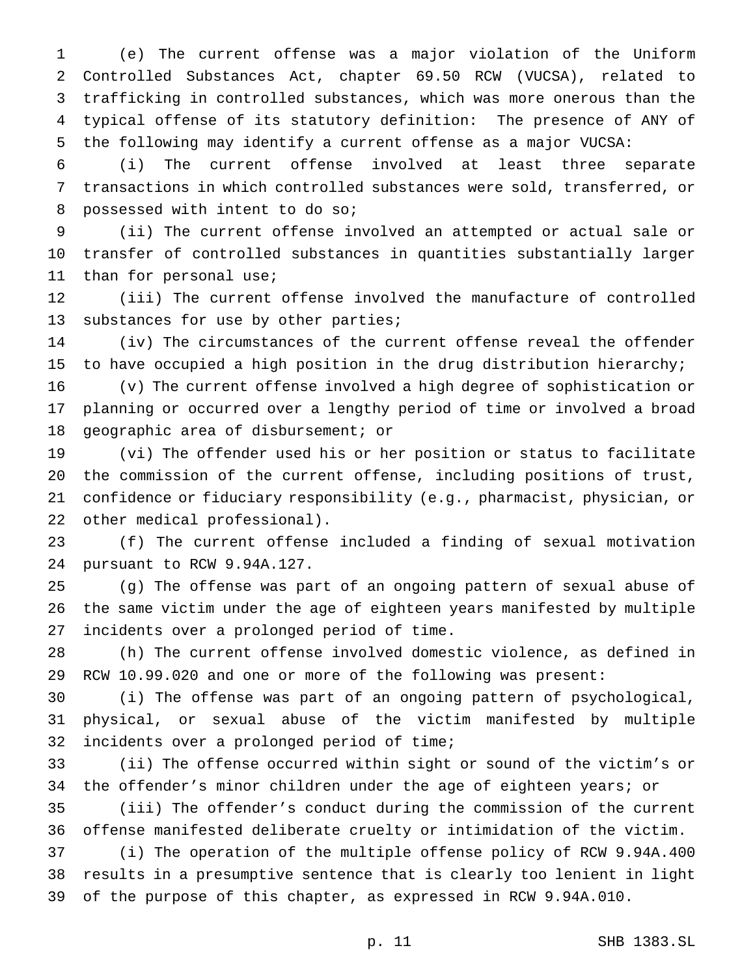(e) The current offense was a major violation of the Uniform Controlled Substances Act, chapter 69.50 RCW (VUCSA), related to trafficking in controlled substances, which was more onerous than the typical offense of its statutory definition: The presence of ANY of the following may identify a current offense as a major VUCSA:

 (i) The current offense involved at least three separate transactions in which controlled substances were sold, transferred, or possessed with intent to do so;

 (ii) The current offense involved an attempted or actual sale or transfer of controlled substances in quantities substantially larger than for personal use;

 (iii) The current offense involved the manufacture of controlled 13 substances for use by other parties;

 (iv) The circumstances of the current offense reveal the offender to have occupied a high position in the drug distribution hierarchy;

 (v) The current offense involved a high degree of sophistication or planning or occurred over a lengthy period of time or involved a broad geographic area of disbursement; or

 (vi) The offender used his or her position or status to facilitate the commission of the current offense, including positions of trust, confidence or fiduciary responsibility (e.g., pharmacist, physician, or other medical professional).

 (f) The current offense included a finding of sexual motivation pursuant to RCW 9.94A.127.

 (g) The offense was part of an ongoing pattern of sexual abuse of the same victim under the age of eighteen years manifested by multiple incidents over a prolonged period of time.

 (h) The current offense involved domestic violence, as defined in RCW 10.99.020 and one or more of the following was present:

 (i) The offense was part of an ongoing pattern of psychological, physical, or sexual abuse of the victim manifested by multiple incidents over a prolonged period of time;

 (ii) The offense occurred within sight or sound of the victim's or the offender's minor children under the age of eighteen years; or

 (iii) The offender's conduct during the commission of the current offense manifested deliberate cruelty or intimidation of the victim.

 (i) The operation of the multiple offense policy of RCW 9.94A.400 results in a presumptive sentence that is clearly too lenient in light of the purpose of this chapter, as expressed in RCW 9.94A.010.